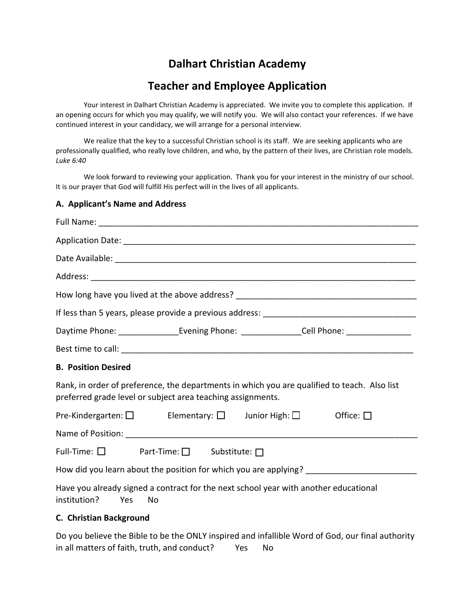## **Dalhart Christian Academy**

## **Teacher and Employee Application**

Your interest in Dalhart Christian Academy is appreciated. We invite you to complete this application. If an opening occurs for which you may qualify, we will notify you. We will also contact your references. If we have continued interest in your candidacy, we will arrange for a personal interview.

We realize that the key to a successful Christian school is its staff. We are seeking applicants who are professionally qualified, who really love children, and who, by the pattern of their lives, are Christian role models. *Luke 6:40*

We look forward to reviewing your application. Thank you for your interest in the ministry of our school. It is our prayer that God will fulfill His perfect will in the lives of all applicants.

#### **A. Applicant's Name and Address**

| Daytime Phone: __________________Evening Phone: ________________Cell Phone: _________________                                                               |  |  |                |
|-------------------------------------------------------------------------------------------------------------------------------------------------------------|--|--|----------------|
|                                                                                                                                                             |  |  |                |
| <b>B. Position Desired</b>                                                                                                                                  |  |  |                |
| Rank, in order of preference, the departments in which you are qualified to teach. Also list<br>preferred grade level or subject area teaching assignments. |  |  |                |
| Pre-Kindergarten: $\square$ Elementary: $\square$ Junior High: $\square$                                                                                    |  |  | Office: $\Box$ |
|                                                                                                                                                             |  |  |                |
| Full-Time: $\square$ Part-Time: $\square$ Substitute: $\square$                                                                                             |  |  |                |
|                                                                                                                                                             |  |  |                |
| Have you already signed a contract for the next school year with another educational<br>institution?<br>No<br>Yes                                           |  |  |                |
| C. Christian Background                                                                                                                                     |  |  |                |

Do you believe the Bible to be the ONLY inspired and infallible Word of God, our final authority in all matters of faith, truth, and conduct? Yes No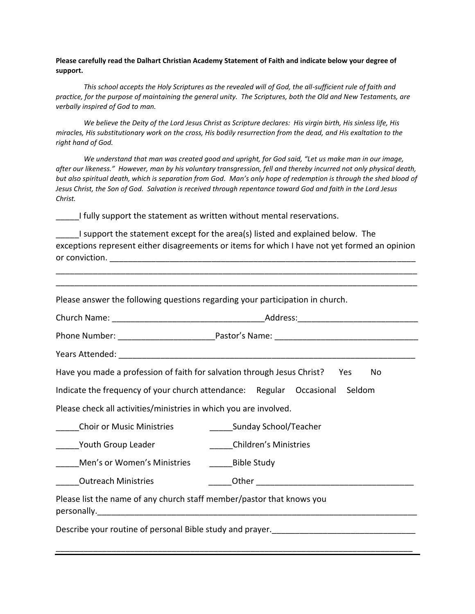**Please carefully read the Dalhart Christian Academy Statement of Faith and indicate below your degree of support.**

*This school accepts the Holy Scriptures as the revealed will of God, the all-sufficient rule of faith and practice, for the purpose of maintaining the general unity. The Scriptures, both the Old and New Testaments, are verbally inspired of God to man.* 

*We believe the Deity of the Lord Jesus Christ as Scripture declares: His virgin birth, His sinless life, His miracles, His substitutionary work on the cross, His bodily resurrection from the dead, and His exaltation to the right hand of God.*

*We understand that man was created good and upright, for God said, "Let us make man in our image, after our likeness." However, man by his voluntary transgression, fell and thereby incurred not only physical death, but also spiritual death, which is separation from God. Man's only hope of redemption is through the shed blood of Jesus Christ, the Son of God. Salvation is received through repentance toward God and faith in the Lord Jesus Christ.*

I fully support the statement as written without mental reservations.

\_\_\_\_\_I support the statement except for the area(s) listed and explained below. The exceptions represent either disagreements or items for which I have not yet formed an opinion or conviction. The conversion of  $\mathcal{L}$  is a set of  $\mathcal{L}$  is a set of  $\mathcal{L}$  is a set of  $\mathcal{L}$ 

\_\_\_\_\_\_\_\_\_\_\_\_\_\_\_\_\_\_\_\_\_\_\_\_\_\_\_\_\_\_\_\_\_\_\_\_\_\_\_\_\_\_\_\_\_\_\_\_\_\_\_\_\_\_\_\_\_\_\_\_\_\_\_\_\_\_\_\_\_\_\_\_\_\_\_\_\_\_ \_\_\_\_\_\_\_\_\_\_\_\_\_\_\_\_\_\_\_\_\_\_\_\_\_\_\_\_\_\_\_\_\_\_\_\_\_\_\_\_\_\_\_\_\_\_\_\_\_\_\_\_\_\_\_\_\_\_\_\_\_\_\_\_\_\_\_\_\_\_\_\_\_\_\_\_\_\_

Please answer the following questions regarding your participation in church.

| Church Name: <u>___________________________</u>                         | Address:                     |
|-------------------------------------------------------------------------|------------------------------|
| Phone Number: <u>__________________</u>                                 |                              |
| Years Attended:                                                         |                              |
| Have you made a profession of faith for salvation through Jesus Christ? | <b>Yes</b><br>No.            |
| Indicate the frequency of your church attendance: Regular Occasional    | Seldom                       |
| Please check all activities/ministries in which you are involved.       |                              |
| <b>Choir or Music Ministries</b>                                        | Sunday School/Teacher        |
| Youth Group Leader                                                      | <b>Children's Ministries</b> |

\_\_\_\_\_\_\_\_\_\_\_\_\_\_\_\_\_\_\_\_\_\_\_\_\_\_\_\_\_\_\_\_\_\_\_\_\_\_\_\_\_\_\_\_\_\_\_\_\_\_\_\_\_\_\_\_\_\_\_\_\_\_\_\_\_\_\_\_\_\_\_\_\_\_\_\_\_

Men's or Women's Ministries Bible Study

Outreach Ministries **Example 20** Other  $\overline{O}$ 

Please list the name of any church staff member/pastor that knows you personally.

Describe your routine of personal Bible study and prayer.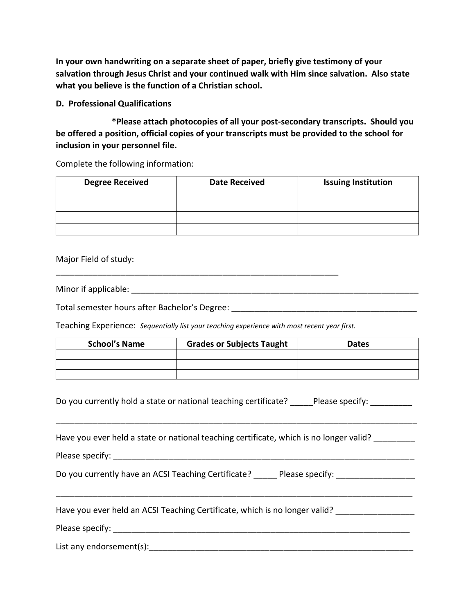**In your own handwriting on a separate sheet of paper, briefly give testimony of your salvation through Jesus Christ and your continued walk with Him since salvation. Also state what you believe is the function of a Christian school.** 

**D. Professional Qualifications**

**\*Please attach photocopies of all your post-secondary transcripts. Should you be offered a position, official copies of your transcripts must be provided to the school for inclusion in your personnel file.**

Complete the following information:

| <b>Degree Received</b> | <b>Date Received</b> | <b>Issuing Institution</b> |
|------------------------|----------------------|----------------------------|
|                        |                      |                            |
|                        |                      |                            |
|                        |                      |                            |
|                        |                      |                            |

Major Field of study:

Minor if applicable:  $\blacksquare$ 

Total semester hours after Bachelor's Degree:

Teaching Experience: *Sequentially list your teaching experience with most recent year first.*

| <b>School's Name</b> | <b>Grades or Subjects Taught</b> | <b>Dates</b> |
|----------------------|----------------------------------|--------------|
|                      |                                  |              |
|                      |                                  |              |
|                      |                                  |              |

Do you currently hold a state or national teaching certificate? \_\_\_\_\_\_Please specify:

\_\_\_\_\_\_\_\_\_\_\_\_\_\_\_\_\_\_\_\_\_\_\_\_\_\_\_\_\_\_\_\_\_\_\_\_\_\_\_\_\_\_\_\_\_\_\_\_\_\_\_\_\_\_\_\_\_\_\_\_\_\_\_\_\_\_\_\_\_\_\_\_\_\_\_\_\_\_

\_\_\_\_\_\_\_\_\_\_\_\_\_\_\_\_\_\_\_\_\_\_\_\_\_\_\_\_\_\_\_\_\_\_\_\_\_\_\_\_\_\_\_\_\_\_\_\_\_\_\_\_\_\_\_\_\_\_\_\_\_\_\_\_\_\_\_\_\_\_\_\_\_\_\_\_\_

Have you ever held a state or national teaching certificate, which is no longer valid?

Please specify: **Example 20** and  $\overline{P}$ 

Do you currently have an ACSI Teaching Certificate? <br> Please specify:

Have you ever held an ACSI Teaching Certificate, which is no longer valid? \_\_\_\_\_\_\_\_\_\_\_\_\_\_\_\_\_\_\_\_\_\_\_\_

Please specify: **Example 20** and 20 and 20 and 20 and 20 and 20 and 20 and 20 and 20 and 20 and 20 and 20 and 20 and 20 and 20 and 20 and 20 and 20 and 20 and 20 and 20 and 20 and 20 and 20 and 20 and 20 and 20 and 20 and

List any endorsement(s):\_\_\_\_\_\_\_\_\_\_\_\_\_\_\_\_\_\_\_\_\_\_\_\_\_\_\_\_\_\_\_\_\_\_\_\_\_\_\_\_\_\_\_\_\_\_\_\_\_\_\_\_\_\_\_\_\_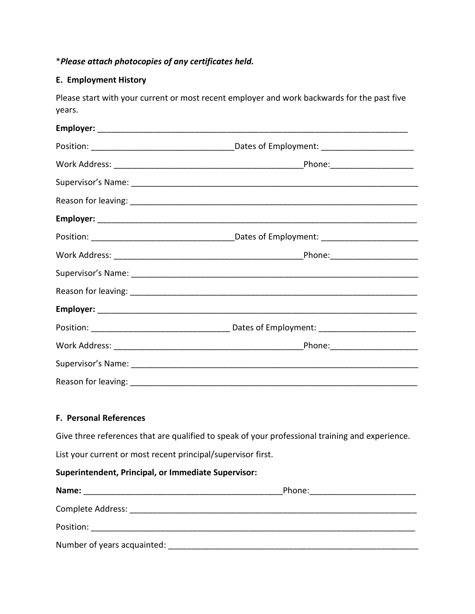### \**Please attach photocopies of any certificates held.*

#### **E. Employment History**

Please start with your current or most recent employer and work backwards for the past five years.

#### **F. Personal References**

Give three references that are qualified to speak of your professional training and experience.

List your current or most recent principal/supervisor first.

#### **Superintendent, Principal, or Immediate Supervisor:**

| Name:                       | Phone: |  |
|-----------------------------|--------|--|
| <b>Complete Address:</b>    |        |  |
| Position:                   |        |  |
| Number of years acquainted: |        |  |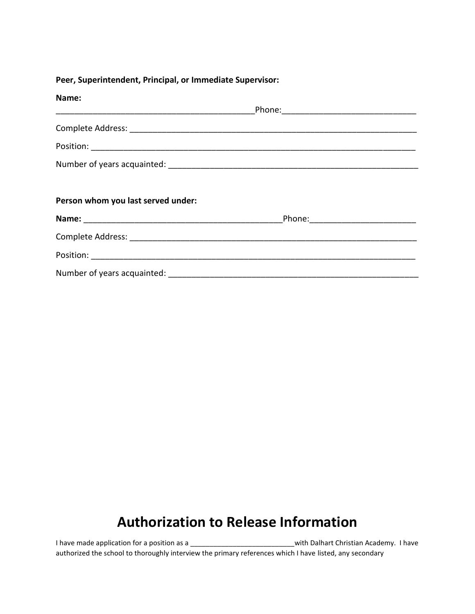#### **Peer, Superintendent, Principal, or Immediate Supervisor:**

| Name:                              |  |
|------------------------------------|--|
|                                    |  |
|                                    |  |
|                                    |  |
|                                    |  |
|                                    |  |
| Person whom you last served under: |  |
|                                    |  |
|                                    |  |
|                                    |  |
|                                    |  |

# **Authorization to Release Information**

I have made application for a position as a \_\_\_\_\_\_\_\_\_\_\_\_\_\_\_\_\_\_\_\_\_\_\_\_\_\_\_\_with Dalhart Christian Academy. I have authorized the school to thoroughly interview the primary references which I have listed, any secondary